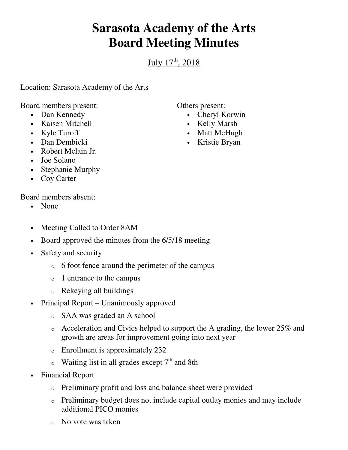## **Sarasota Academy of the Arts Board Meeting Minutes**

July  $17^{\text{th}}$ , 2018

Location: Sarasota Academy of the Arts

Board members present:

- Dan Kennedy
- Kaisen Mitchell
- Kyle Turoff
- Dan Dembicki
- Robert Mclain Jr.
- Joe Solano
- Stephanie Murphy
- Coy Carter

Board members absent:

- None
- Meeting Called to Order 8AM
- Board approved the minutes from the  $6/5/18$  meeting
- Safety and security
	- o 6 foot fence around the perimeter of the campus
	- o 1 entrance to the campus
	- o Rekeying all buildings
- Principal Report Unanimously approved
	- o SAA was graded an A school
	- $\circ$  Acceleration and Civics helped to support the A grading, the lower 25% and growth are areas for improvement going into next year
	- o Enrollment is approximately 232
	- $\circ$  Waiting list in all grades except 7<sup>th</sup> and 8th
- Financial Report
	- o Preliminary profit and loss and balance sheet were provided
	- o Preliminary budget does not include capital outlay monies and may include additional PICO monies
	- o No vote was taken

Others present:

- Cheryl Korwin
- Kelly Marsh
- Matt McHugh
- Kristie Bryan